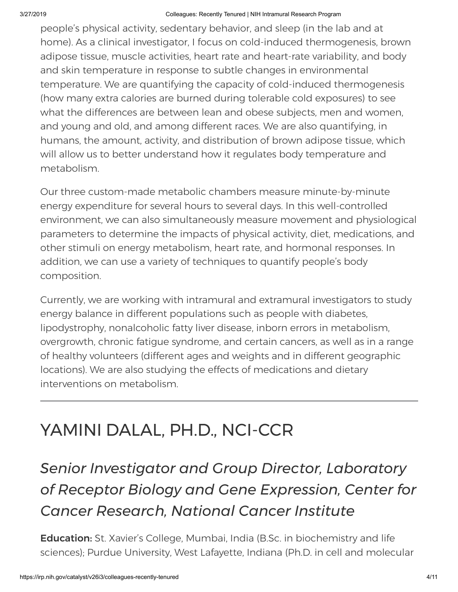people's physical activity, sedentary behavior, and sleep (in the lab and at home). As a clinical investigator, I focus on cold-induced thermogenesis, brown adipose tissue, muscle activities, heart rate and heart-rate variability, and body and skin temperature in response to subtle changes in environmental temperature. We are quantifying the capacity of cold-induced thermogenesis (how many extra calories are burned during tolerable cold exposures) to see what the differences are between lean and obese subjects, men and women, and young and old, and among different races. We are also quantifying, in humans, the amount, activity, and distribution of brown adipose tissue, which will allow us to better understand how it regulates body temperature and metabolism.

Our three custom-made metabolic chambers measure minute-by-minute energy expenditure for several hours to several days. In this well-controlled environment, we can also simultaneously measure movement and physiological parameters to determine the impacts of physical activity, diet, medications, and other stimuli on energy metabolism, heart rate, and hormonal responses. In addition, we can use a variety of techniques to quantify people's body composition.

Currently, we are working with intramural and extramural investigators to study energy balance in different populations such as people with diabetes, lipodystrophy, nonalcoholic fatty liver disease, inborn errors in metabolism, overgrowth, chronic fatigue syndrome, and certain cancers, as well as in a range of healthy volunteers (different ages and weights and in different geographic locations). We are also studying the effects of medications and dietary interventions on metabolism.

## YAMINI DALAL, PH.D., NCI-CCR

## *Senior Investigator and Group Director, Laboratory of Receptor Biology and Gene Expression, Center for Cancer Research, National Cancer Institute*

**Education:** St. Xavier's College, Mumbai, India (B.Sc. in biochemistry and life sciences); Purdue University, West Lafayette, Indiana (Ph.D. in cell and molecular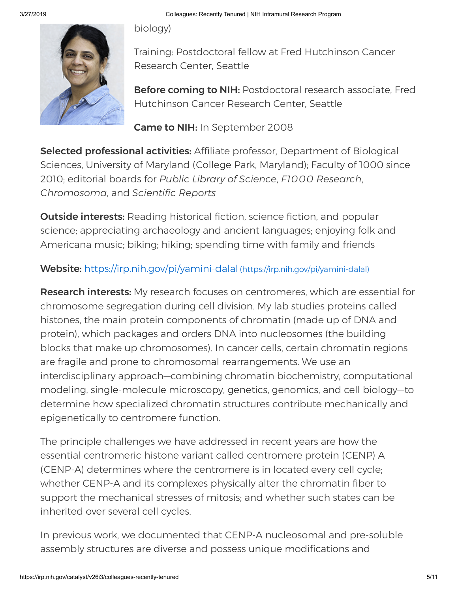biology)



Training: Postdoctoral fellow at Fred Hutchinson Cancer Research Center, Seattle

**Before coming to NIH: Postdoctoral research associate, Fred** Hutchinson Cancer Research Center, Seattle

Came to NIH: In September 2008

Selected professional activities: Affiliate professor, Department of Biological Sciences, University of Maryland (College Park, Maryland); Faculty of 1000 since 2010; editorial boards for *Public Library of Science*, *F1000 Research*, *Chromosoma*, and *Scientific Reports*

**Outside interests:** Reading historical fiction, science fiction, and popular science; appreciating archaeology and ancient languages; enjoying folk and Americana music; biking; hiking; spending time with family and friends

Website: <https://irp.nih.gov/pi/yamini-dalal> (https://irp.nih.gov/pi/yamini-dalal)

**Research interests:** My research focuses on centromeres, which are essential for chromosome segregation during cell division. My lab studies proteins called histones, the main protein components of chromatin (made up of DNA and protein), which packages and orders DNA into nucleosomes (the building blocks that make up chromosomes). In cancer cells, certain chromatin regions are fragile and prone to chromosomal rearrangements. We use an interdisciplinary approach—combining chromatin biochemistry, computational modeling, single-molecule microscopy, genetics, genomics, and cell biology—to determine how specialized chromatin structures contribute mechanically and epigenetically to centromere function.

The principle challenges we have addressed in recent years are how the essential centromeric histone variant called centromere protein (CENP) A (CENP-A) determines where the centromere is in located every cell cycle; whether CENP-A and its complexes physically alter the chromatin fiber to support the mechanical stresses of mitosis; and whether such states can be inherited over several cell cycles.

In previous work, we documented that CENP-A nucleosomal and pre-soluble assembly structures are diverse and possess unique modifications and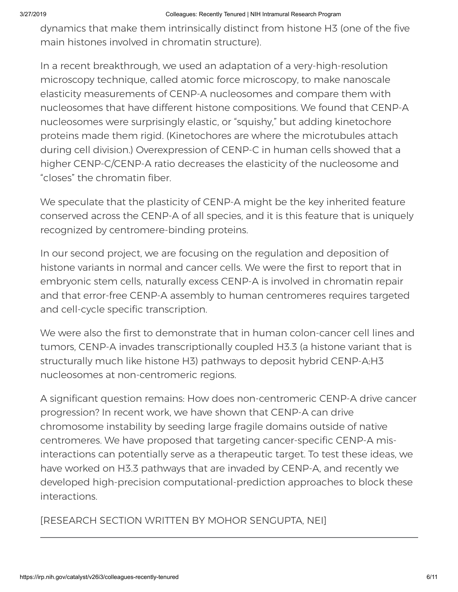dynamics that make them intrinsically distinct from histone H3 (one of the five main histones involved in chromatin structure).

In a recent breakthrough, we used an adaptation of a very-high-resolution microscopy technique, called atomic force microscopy, to make nanoscale elasticity measurements of CENP-A nucleosomes and compare them with nucleosomes that have different histone compositions. We found that CENP-A nucleosomes were surprisingly elastic, or "squishy," but adding kinetochore proteins made them rigid. (Kinetochores are where the microtubules attach during cell division.) Overexpression of CENP-C in human cells showed that a higher CENP-C/CENP-A ratio decreases the elasticity of the nucleosome and "closes" the chromatin fiber.

We speculate that the plasticity of CENP-A might be the key inherited feature conserved across the CENP-A of all species, and it is this feature that is uniquely recognized by centromere-binding proteins.

In our second project, we are focusing on the regulation and deposition of histone variants in normal and cancer cells. We were the first to report that in embryonic stem cells, naturally excess CENP-A is involved in chromatin repair and that error-free CENP-A assembly to human centromeres requires targeted and cell-cycle specific transcription.

We were also the first to demonstrate that in human colon-cancer cell lines and tumors, CENP-A invades transcriptionally coupled H3.3 (a histone variant that is structurally much like histone H3) pathways to deposit hybrid CENP-A:H3 nucleosomes at non-centromeric regions.

A significant question remains: How does non-centromeric CENP-A drive cancer progression? In recent work, we have shown that CENP-A can drive chromosome instability by seeding large fragile domains outside of native centromeres. We have proposed that targeting cancer-specific CENP-A misinteractions can potentially serve as a therapeutic target. To test these ideas, we have worked on H3.3 pathways that are invaded by CENP-A, and recently we developed high-precision computational-prediction approaches to block these interactions.

[RESEARCH SECTION WRITTEN BY MOHOR SENGUPTA, NEI]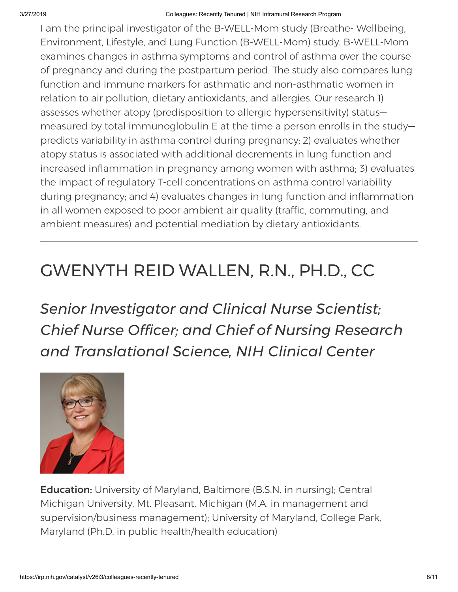I am the principal investigator of the B-WELL-Mom study (Breathe- Wellbeing, Environment, Lifestyle, and Lung Function (B-WELL-Mom) study. B-WELL-Mom examines changes in asthma symptoms and control of asthma over the course of pregnancy and during the postpartum period. The study also compares lung function and immune markers for asthmatic and non-asthmatic women in relation to air pollution, dietary antioxidants, and allergies. Our research 1) assesses whether atopy (predisposition to allergic hypersensitivity) status measured by total immunoglobulin E at the time a person enrolls in the study predicts variability in asthma control during pregnancy; 2) evaluates whether atopy status is associated with additional decrements in lung function and increased inflammation in pregnancy among women with asthma; 3) evaluates the impact of regulatory T-cell concentrations on asthma control variability during pregnancy; and 4) evaluates changes in lung function and inflammation in all women exposed to poor ambient air quality (traffic, commuting, and ambient measures) and potential mediation by dietary antioxidants.

## GWENYTH REID WALLEN, R.N., PH.D., CC

*Senior Investigator and Clinical Nurse Scientist; Chief Nurse Officer; and Chief of Nursing Research and Translational Science, NIH Clinical Center*



**Education:** University of Maryland, Baltimore (B.S.N. in nursing); Central Michigan University, Mt. Pleasant, Michigan (M.A. in management and supervision/business management); University of Maryland, College Park, Maryland (Ph.D. in public health/health education)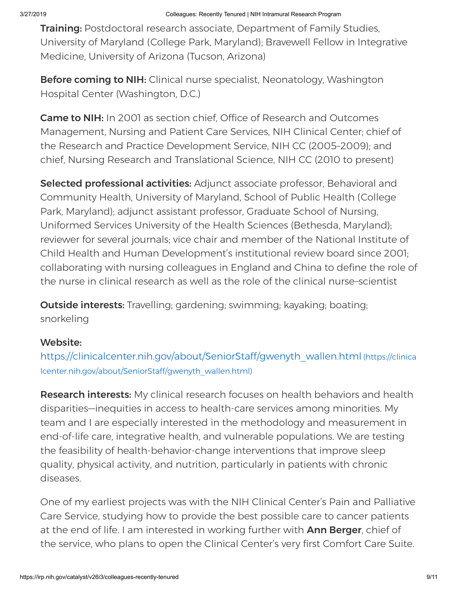**Training:** Postdoctoral research associate, Department of Family Studies, University of Maryland (College Park, Maryland); Bravewell Fellow in Integrative Medicine, University of Arizona (Tucson, Arizona)

**Before coming to NIH:** Clinical nurse specialist, Neonatology, Washington Hospital Center (Washington, D.C.)

Came to NIH: In 2001 as section chief, Office of Research and Outcomes Management, Nursing and Patient Care Services, NIH Clinical Center; chief of the Research and Practice Development Service, NIH CC (2005–2009); and chief, Nursing Research and Translational Science, NIH CC (2010 to present)

Selected professional activities: Adjunct associate professor, Behavioral and Community Health, University of Maryland, School of Public Health (College Park, Maryland); adjunct assistant professor, Graduate School of Nursing, Uniformed Services University of the Health Sciences (Bethesda, Maryland); reviewer for several journals; vice chair and member of the National Institute of Child Health and Human Development's institutional review board since 2001; collaborating with nursing colleagues in England and China to define the role of the nurse in clinical research as well as the role of the clinical nurse–scientist

**Outside interests:** Travelling; gardening; swimming; kayaking; boating; snorkeling

## Website:

[https://clinicalcenter.nih.gov/about/SeniorStaff/gwenyth\\_wallen.html](https://clinicalcenter.nih.gov/about/SeniorStaff/gwenyth_wallen.html) (https://clinica lcenter.nih.gov/about/SeniorStaff/gwenyth\_wallen.html)

**Research interests:** My clinical research focuses on health behaviors and health disparities—inequities in access to health-care services among minorities. My team and I are especially interested in the methodology and measurement in end-of-life care, integrative health, and vulnerable populations. We are testing the feasibility of health-behavior-change interventions that improve sleep quality, physical activity, and nutrition, particularly in patients with chronic diseases.

One of my earliest projects was with the NIH Clinical Center's Pain and Palliative Care Service, studying how to provide the best possible care to cancer patients at the end of life. I am interested in working further with **Ann Berger**, chief of the service, who plans to open the Clinical Center's very first Comfort Care Suite.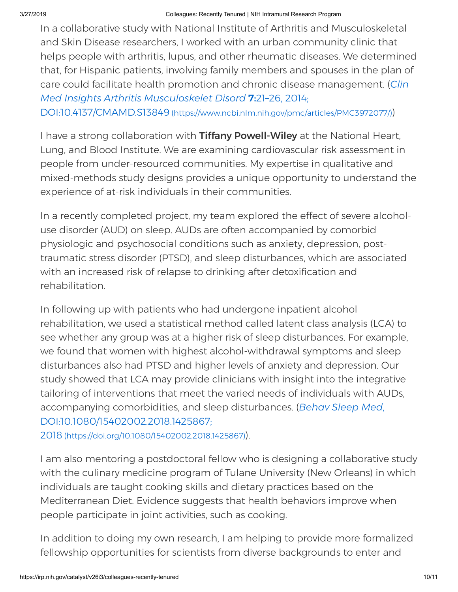In a collaborative study with National Institute of Arthritis and Musculoskeletal and Skin Disease researchers, I worked with an urban community clinic that helps people with arthritis, lupus, and other rheumatic diseases. We determined that, for Hispanic patients, involving family members and spouses in the plan of care could facilitate health promotion and chronic disease management. (*Clin Med Insights Arthritis Musculoskelet Disord* 7:21–26, 2014; DOI:10.4137/CMAMD.S13849 [\(https://www.ncbi.nlm.nih.gov/pmc/articles/PMC3972077/\)](https://www.ncbi.nlm.nih.gov/pmc/articles/PMC3972077/))

I have a strong collaboration with Tiffany Powell-Wiley at the National Heart, Lung, and Blood Institute. We are examining cardiovascular risk assessment in people from under-resourced communities. My expertise in qualitative and mixed-methods study designs provides a unique opportunity to understand the experience of at-risk individuals in their communities.

In a recently completed project, my team explored the effect of severe alcoholuse disorder (AUD) on sleep. AUDs are often accompanied by comorbid physiologic and psychosocial conditions such as anxiety, depression, posttraumatic stress disorder (PTSD), and sleep disturbances, which are associated with an increased risk of relapse to drinking after detoxification and rehabilitation.

In following up with patients who had undergone inpatient alcohol rehabilitation, we used a statistical method called latent class analysis (LCA) to see whether any group was at a higher risk of sleep disturbances. For example, we found that women with highest alcohol-withdrawal symptoms and sleep disturbances also had PTSD and higher levels of anxiety and depression. Our study showed that LCA may provide clinicians with insight into the integrative tailoring of interventions that meet the varied needs of individuals with AUDs, accompanying comorbidities, and sleep disturbances. (*Behav Sleep Med*, [DOI:10.1080/15402002.2018.1425867;](https://doi.org/10.1080/15402002.2018.1425867)

2018 (https://doi.org/10.1080/15402002.2018.1425867)).

I am also mentoring a postdoctoral fellow who is designing a collaborative study with the culinary medicine program of Tulane University (New Orleans) in which individuals are taught cooking skills and dietary practices based on the Mediterranean Diet. Evidence suggests that health behaviors improve when people participate in joint activities, such as cooking.

In addition to doing my own research, I am helping to provide more formalized fellowship opportunities for scientists from diverse backgrounds to enter and